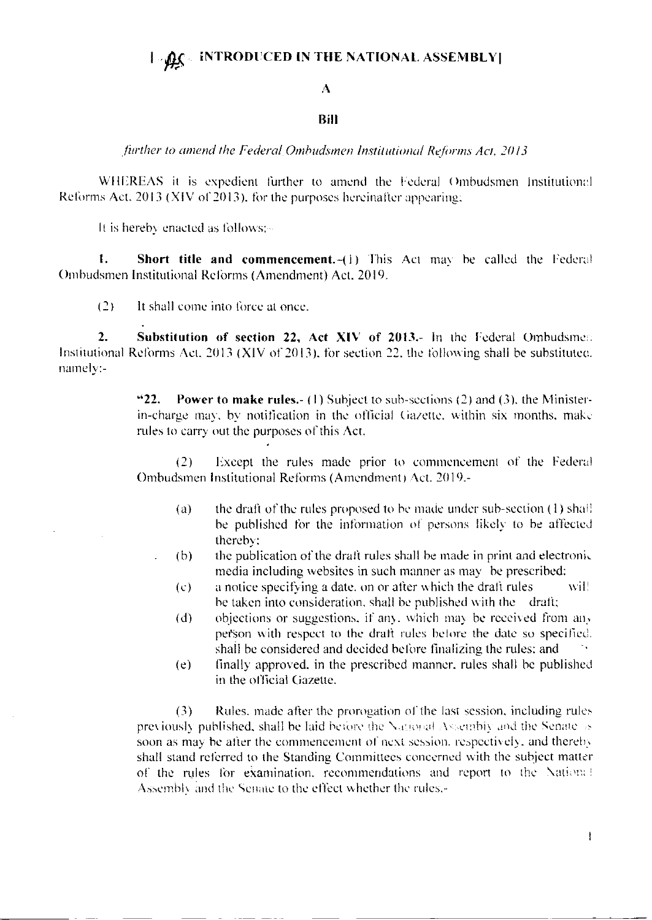## **INTRODUCED IN THE NATIONAL ASSEMBLY**  $\Box$

## A

## **Bill**

further to amend the Federal Ombudsmen Institutional Reforms Act, 2013

WHEREAS it is expedient further to amend the Federal Ombudsmen Institutional Reforms Act, 2013 (XIV of 2013), for the purposes hereinafter appearing;

It is hereby enacted as follows:-

 $\mathbf{1}$ . Short title and commencement.-(1) This Act may be called the Federal Ombudsmen Institutional Reforms (Amendment) Act, 2019.

 $(2)$ It shall come into force at once.

 $\overline{2}$ . Substitution of section 22, Act XIV of 2013.- In the Federal Ombudsmen Institutional Reforms Act, 2013 (XIV of 2013), for section 22, the following shall be substituted. namely:-

> $422.$ **Power to make rules.** (1) Subject to sub-sections (2) and (3), the Ministerin-charge may, by notification in the official Gazette, within six months, make rules to carry out the purposes of this Act.

> $(2)$ Except the rules made prior to commencement of the Federal Ombudsmen Institutional Reforms (Amendment) Act. 2019.-

- the draft of the rules proposed to be made under sub-section (1) shaff  $(a)$ be published for the information of persons likely to be affected thereby:
- the publication of the draft rules shall be made in print and electronic  $(b)$ media including websites in such manner as may be prescribed:
- a notice specifying a date, on or after which the draft rules wil!  $(c)$ be taken into consideration, shall be published with the draft;
- objections or suggestions, if any, which may be received from any  $(d)$ person with respect to the draft rules before the date so specified. shall be considered and decided before finalizing the rules; and
- finally approved, in the prescribed manner, rules shall be published  $(e)$ in the official Gazette.

Rules, made after the prorogation of the last session, including rules  $(3)$ previously published, shall be faid before the National Assembly and the Senate is soon as may be after the commencement of next session, respectively, and thereby shall stand referred to the Standing Committees concerned with the subject matter of the rules for examination, recommendations and report to the National Assembly and the Senate to the effect whether the rules.-

 $\mathbf{I}$